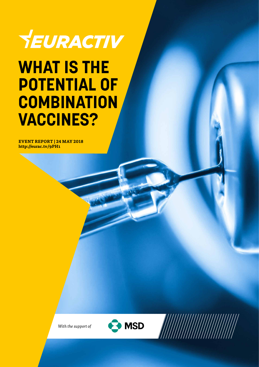## TEURACTIV

### **WHAT IS THE POTENTIAL OF COMBINATION VACCINES?**

**EVENT REPORT | 24 MAY 2018 http://eurac.tv/9PH1**



*With the support of*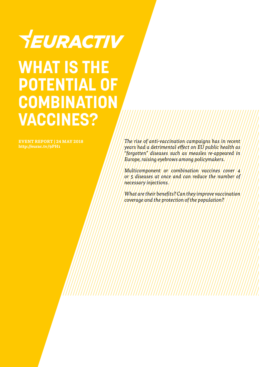# YEURACTIV

### **WHAT IS THE POTENTIAL OF COMBINATION VACCINES?**

**EVENT REPORT | 24 MAY 2018 http://eurac.tv/9PH1**

*The rise of anti-vaccination campaigns has in recent years had a detrimental effect on EU public health as "forgotten" diseases such as measles re-appeared in Europe, raising eyebrows among policymakers.*

*Multicomponent or combination vaccines cover 4 or 5 diseases at once and can reduce the number of necessary injections.*

*What are their benefits? Can they improve vaccination coverage and the protection of the population?*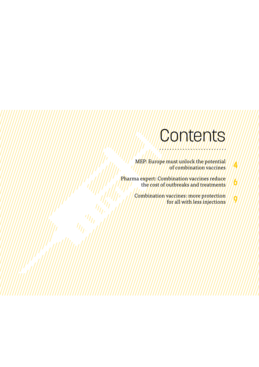### Contents

**4**

**6**

**9**

MEP: Europe must unlock the potential of combination vaccines

Pharma expert: Combination vaccines reduce the cost of outbreaks and treatments

||<sup>|</sup><br>|<sup>|||</sup>||<br>||<sub>|||||</sub>||

Combination vaccines: more protection for all with less injections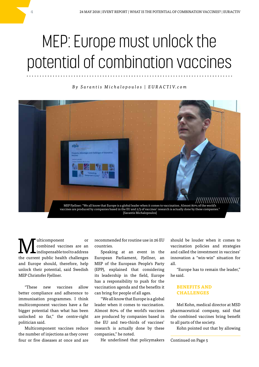## MEP: Europe must unlock the potential of combination vaccines

#### *B y S a r a n t i s M i c h a l o p o u l o s | E U R A C T I V. c o m*



**Multicomponent** or<br> **indispensable tool to address**<br>
the www.therethical bealth shall waves combined vaccines are an the current public health challenges and Europe should, therefore, help unlock their potential, said Swedish MEP Christofer Fjellner.

"These new vaccines allow better compliance and adherence to immunisation programmes. I think multicomponent vaccines have a far bigger potential than what has been unlocked so far," the centre-right politician said.

Multicomponent vaccines reduce the number of injections as they cover four or five diseases at once and are

recommended for routine use in 26 EU countries.

Speaking at an event in the European Parliament, Fjellner, an MEP of the European People's Party (EPP), explained that considering its leadership in the field, Europe has a responsibility to push for the vaccination agenda and the benefits it can bring for people of all ages.

"We all know that Europe is a global leader when it comes to vaccination. Almost 80% of the world's vaccines are produced by companies based in the EU and two-thirds of vaccines' research is actually done by these companies," he noted.

He underlined that policymakers

should be louder when it comes to vaccination policies and strategies and called the investment in vaccines' innovation a "win-win" situation for all.

"Europe has to remain the leader," he said.

#### **BENEFITS AND CHALLENGES**

Mel Kohn, medical director at MSD pharmaceutical company, said that the combined vaccines bring benefit to all parts of the society.

Kohn pointed out that by allowing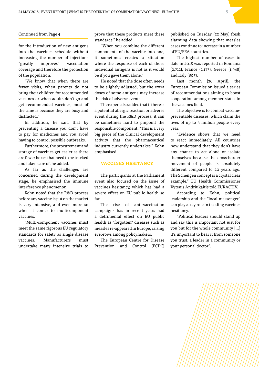#### Continued from Page 4

for the introduction of new antigens into the vaccines schedule without increasing the number of injections "greatly improves" vaccination coverage and therefore the protection of the population.

"We know that when there are fewer visits, when parents do not bring their children for recommended vaccines or when adults don't go and get recommended vaccines, most of the time is because they are busy and distracted."

In addition, he said that by preventing a disease you don't have to pay for medicines and you avoid having to control possible outbreaks.

Furthermore, the procurement and storage of vaccines get easier as there are fewer boxes that need to be tracked and taken care of, he added.

As far as the challenges are concerned during the development stage, he emphasised the immune interference phenomenon.

Kohn noted that the R&D process before any vaccine is put on the market is very intensive, and even more so when it comes to multicomponent vaccines.

"Multi-component vaccines must meet the same rigorous EU regulatory standards for safety as single disease vaccines. Manufacturers must undertake many intensive trials to

prove that these products meet these standards," he added.

"When you combine the different components of the vaccine into one, it sometimes creates a situation where the response of each of those individual antigens is not as it would be if you gave them alone."

He noted that the dose often needs to be slightly adjusted, but the extra doses of some antigens may increase the risk of adverse events.

The expert also added that if there is a potential allergic reaction or adverse event during the R&D process, it can be sometimes hard to pinpoint the responsible component. "This is a very big piece of the clinical development activity that the pharmaceutical industry currently undertakes," Kohn emphasised.

#### **VACCINES HESITANCY**

The participants at the Parliament event also focused on the issue of vaccines hesitancy, which has had a severe effect on EU public health so far.

The rise of anti-vaccination campaigns has in recent years had a detrimental effect on EU public health as "forgotten" diseases such as measles re-appeared in Europe, raising eyebrows among policymakers.

The European Centre for Disease Prevention and Control (ECDC) published on Tuesday (22 May) fresh alarming data showing that measles cases continue to increase in a number of EU/EEA countries.

The highest number of cases to date in 2018 was reported in Romania (2,712), France (2,173), Greece (1,948) and Italy (805).

Last month (26 April), the European Commission issued a series of recommendations aiming to boost cooperation among member states in the vaccines field.

The objective is to combat vaccinepreventable diseases, which claim the lives of up to 3 million people every year.

"Evidence shows that we need to react immediately. All countries now understand that they don't have any chance to act alone or isolate themselves because the cross-border movement of people is absolutely different compared to 20 years ago. The Schengen concept is a crystal clear example," EU Health Commissioner Vytenis Andriukaitis told EURACTIV.

According to Kohn, political leadership and the "local messenger" can play a key role in tackling vaccines hesitancy.

"Political leaders should stand up and say this is important not just for you but for the whole community […] it's important to hear it from someone you trust, a leader in a community or your personal doctor".

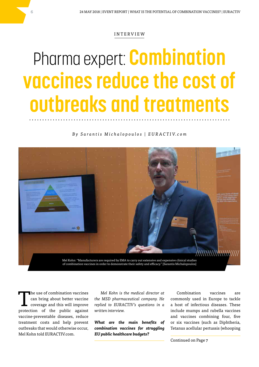#### INTERVIEW

## Pharma expert: **Combination vaccines reduce the cost of outbreaks and treatments**

*B y S a r a n t i s M i c h a l o p o u l o s | E U R A C T I V. c o m*



The use of combination vaccines<br>
can bring about better vaccine<br>
coverage and this will improve can bring about better vaccine protection of the public against vaccine-preventable diseases, reduce treatment costs and help prevent outbreaks that would otherwise occur, Mel Kohn told EURACTIV.com.

*Mel Kohn is the medical director at the MSD pharmaceutical company. He replied to EURACTIV's questions in a written interview.* 

*What are the main benefits of combination vaccines for struggling EU public healthcare budgets?* 

Combination vaccines are commonly used in Europe to tackle a host of infectious diseases. These include mumps and rubella vaccines and vaccines combining four, five or six vaccines (such as Diphtheria, Tetanus acellular pertussis (whooping

Continued on Page 7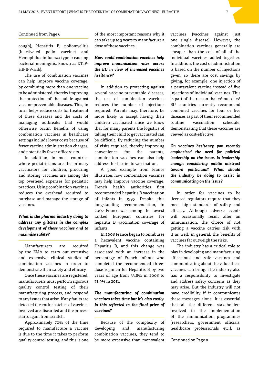#### Continued from Page 6

cough), Hepatitis B, poliomyelitis (Inactivated polio vaccine) and Hemophilus influenza type b causing bacterial meningitis, known as DTaP-HB-IPV-Hib).

The use of combination vaccines can help improve vaccine coverage, by combining more than one vaccine to be administered, thereby improving the protection of the public against vaccine-preventable diseases. This, in turn, helps reduce costs for treatment of these diseases and the costs of managing outbreaks that would otherwise occur. Benefits of using combination vaccines in healthcare settings include lower costs because of fewer vaccine administration charges, and potentially fewer office visits.

In addition, in most countries where pediatricians are the primary vaccinators for children, procuring and storing vaccines are among the top overhead expenses for pediatric practices. Using combination vaccines reduces the overhead required to purchase and manage the storage of vaccines.

#### *What is the pharma industry doing to address any glitches in the complex development of these vaccines and to maximise safety?*

Manufacturers are required by the EMA to carry out extensive and expensive clinical studies of combination vaccines in order to demonstrate their safety and efficacy.

Once these vaccines are registered, manufacturers must perform rigorous quality control testing of their manufacturing process, and respond to any issues that arise. If any faults are detected the entire batches of vaccines involved are discarded and the process starts again from scratch.

Approximately 70% of the time required to manufacture a vaccine is due to the time it takes to perform quality control testing, and this is one of the most important reasons why it can take up to 3 years to manufacture a dose of these vaccines.

#### *How could combination vaccines help improve immunisation rates across the EU in view of increased vaccines hesitancy?*

In addition to protecting against several vaccine-preventable diseases, the use of combination vaccines reduces the number of injections required. Parents may, therefore, be more likely to accept having their children vaccinated since we know that for many parents the logistics of taking their child to get vaccinated can be difficult. By reducing the number of visits required, thereby improving convenience for the parents, combination vaccines can also help address this barrier to vaccination.

A good example from France illustrates how combination vaccines may help improve vaccine coverage. French health authorities first recommended hepatitis B vaccination of infants in 1995. Despite this longstanding recommendation, in 2007 France was among the lowest ranked European countries for hepatitis B vaccination coverage of infants.

In 2008 France began to reimburse a hexavalent vaccine containing Hepatitis B, and this change was associated with an increase in the percentage of French infants who completed the recommended threedose regimen for Hepatitis B by two years of age from 33.8% in 2008 to 71.9% in 2011.

#### *The manufacturing of combination vaccines takes time but it's also costly. Is this reflected in the final price of vaccines?*

Because of the complexity of developing and manufacturing combination vaccines, they tend to be more expensive than monovalent

vaccines (vaccines against just one single disease). However, the combination vaccines generally are cheaper than the cost of all of the individual vaccines added together. In addition, the cost of administration is based on the number of injections given, so there are cost savings by giving, for example, one injection of a pentavalent vaccine instead of five injections of individual vaccines. This is part of the reason that 26 out of 28 EU countries currently recommend combined vaccines for four or five diseases as part of their recommended routine vaccination schedule, demonstrating that these vaccines are viewed as cost-effective.

*On vaccines hesitancy, you recently emphasised the need for political leadership on the issue. Is leadership enough considering public mistrust toward politicians? What should the industry be doing to assist in communicating on the issue?*

In order for vaccines to be licensed regulators require that they meet high standards of safety and efficacy. Although adverse events will occasionally result after an immunization, the choice of not getting a vaccine carries risk with it as well; in general, the benefits of vaccines far outweigh the risks.

The industry has a critical role to play in developing and manufacturing efficacious and safe vaccines and communicating about the value these vaccines can bring. The industry also has a responsibility to investigate and address safety concerns as they may arise. But the industry will not have credibility if it communicates these messages alone. It is essential that all the different stakeholders involved in the implementation of the immunisation programmes (researchers, government officials, healthcare professionals etc.), as

Continued on Page 8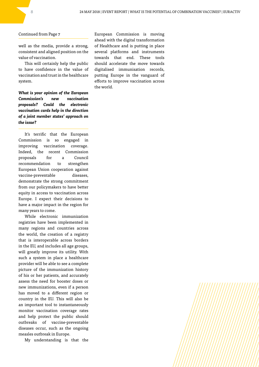Continued from Page 7

well as the media, provide a strong, consistent and aligned position on the value of vaccination.

This will certainly help the public to have confidence in the value of vaccination and trust in the healthcare system.

*What is your opinion of the European Commission's new vaccination proposals? Could the electronic vaccination cards help in the direction of a joint member states' approach on the issue?*

It's terrific that the European Commission is so engaged in improving vaccination coverage. Indeed, the recent Commission proposals for a Council recommendation to strengthen European Union cooperation against vaccine-preventable diseases, demonstrate the strong commitment from our policymakers to have better equity in access to vaccination across Europe. I expect their decisions to have a major impact in the region for many years to come.

While electronic immunization registries have been implemented in many regions and countries across the world, the creation of a registry that is interoperable across borders in the EU, and includes all age groups, will greatly improve its utility. With such a system in place a healthcare provider will be able to see a complete picture of the immunization history of his or her patients, and accurately assess the need for booster doses or new immunizations, even if a person has moved to a different region or country in the EU. This will also be an important tool to instantaneously monitor vaccination coverage rates and help protect the public should outbreaks of vaccine-preventable diseases occur, such as the ongoing measles outbreak in Europe.

My understanding is that the

European Commission is moving ahead with the digital transformation of Healthcare and is putting in place several platforms and instruments towards that end. These tools should accelerate the move towards digitalised immunisation records, putting Europe in the vanguard of efforts to improve vaccination across the world.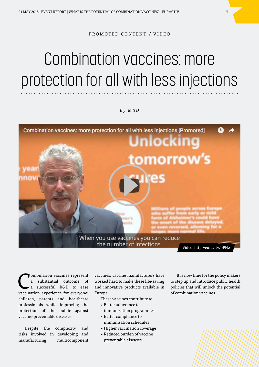PROMOTED CONTENT / VIDEO

### Combination vaccines: more protection for all with less injections

*By MSD*



Video: http://eurac.tv/9PH2

ombination vaccines represent //substantial//outcome//of  $\frac{1}{\sqrt{2}}$  successful  $\frac{1}{\sqrt{2}}$  R&D  $\frac{1}{\sqrt{2}}$  to  $\frac{1}{\sqrt{2}}$  ease vaccination experience for everyone:  $k$ hildren,  $/$  parents  $/$  and  $/$  healthcare  $prof$ essionals  $/$  while  $/$  improving the  $\frac{p_{\text{p}}}{\text{p}_\text{p}}$  (belongthe public  $\frac{p_{\text{p}}}{\text{p}_\text{p}}$ ) vaccine-preventable diseases.

 $\Delta$  Despite  $\ell$  / the  $\ell$  / complexity  $\ell$  and risks involved in developing and /manufacturing / / / / multicomponent

vaccines, vaccine manufacturers have worked hard to make these life-saving and innovative products available in Europe.

- These vaccines contribute to: • Better adherence to
- immunisation programmes • Better compliance to
- immunisation schedules
- Higher vaccination coverage
- Reduced burden of vaccine preventable diseases

It is now time for the policy makers to step up and introduce public health policies that will unlock the potential of combination vaccines.